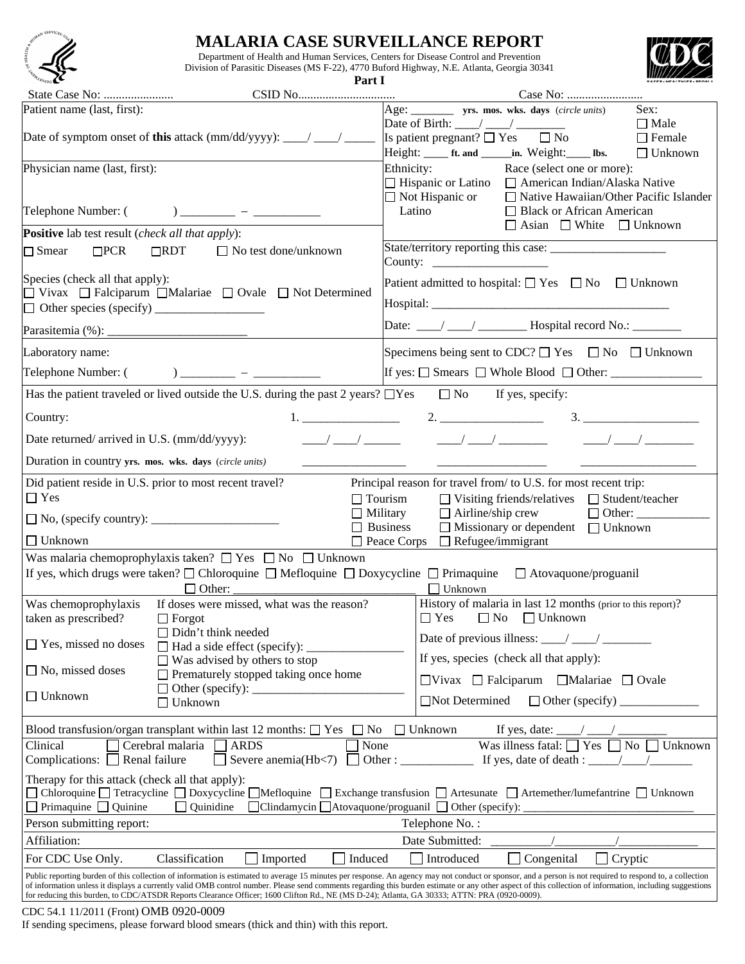

## **MALARIA CASE SURVEILLANCE REPORT**

Department of Health and Human Services, Centers for Disease Control and Prevention Division of Parasitic Diseases (MS F-22), 4770 Buford Highway, N.E. Atlanta, Georgia 30341



**Part I**

| Patient name (last, first):<br>Date of symptom onset of <b>this</b> attack (mm/dd/yyyy): ____/ ____/                                                                                                                                                                                                                                                                                                                                                                                                                                                                 | Age: ___________ yrs. mos. wks. days (circle units)<br>Sex:<br>Date of Birth: $\frac{1}{2}$ $\frac{1}{2}$ $\frac{1}{2}$ $\frac{1}{2}$ $\frac{1}{2}$<br>$\Box$ Male<br>Is patient pregnant? $\Box$ Yes $\Box$ No<br>$\Box$ Female                                                                                                                                                                                        |  |  |  |  |  |  |
|----------------------------------------------------------------------------------------------------------------------------------------------------------------------------------------------------------------------------------------------------------------------------------------------------------------------------------------------------------------------------------------------------------------------------------------------------------------------------------------------------------------------------------------------------------------------|-------------------------------------------------------------------------------------------------------------------------------------------------------------------------------------------------------------------------------------------------------------------------------------------------------------------------------------------------------------------------------------------------------------------------|--|--|--|--|--|--|
|                                                                                                                                                                                                                                                                                                                                                                                                                                                                                                                                                                      |                                                                                                                                                                                                                                                                                                                                                                                                                         |  |  |  |  |  |  |
|                                                                                                                                                                                                                                                                                                                                                                                                                                                                                                                                                                      |                                                                                                                                                                                                                                                                                                                                                                                                                         |  |  |  |  |  |  |
|                                                                                                                                                                                                                                                                                                                                                                                                                                                                                                                                                                      | Height: ______ ft. and _______in. Weight: ______ lbs.<br>$\Box$ Unknown                                                                                                                                                                                                                                                                                                                                                 |  |  |  |  |  |  |
| Physician name (last, first):                                                                                                                                                                                                                                                                                                                                                                                                                                                                                                                                        | Ethnicity:<br>Race (select one or more):                                                                                                                                                                                                                                                                                                                                                                                |  |  |  |  |  |  |
|                                                                                                                                                                                                                                                                                                                                                                                                                                                                                                                                                                      | $\Box$ Hispanic or Latino<br>$\Box$ American Indian/Alaska Native                                                                                                                                                                                                                                                                                                                                                       |  |  |  |  |  |  |
|                                                                                                                                                                                                                                                                                                                                                                                                                                                                                                                                                                      | $\Box$ Not Hispanic or<br>$\Box$ Native Hawaiian/Other Pacific Islander                                                                                                                                                                                                                                                                                                                                                 |  |  |  |  |  |  |
|                                                                                                                                                                                                                                                                                                                                                                                                                                                                                                                                                                      | Latino<br>□ Black or African American                                                                                                                                                                                                                                                                                                                                                                                   |  |  |  |  |  |  |
| <b>Positive</b> lab test result (check all that apply):                                                                                                                                                                                                                                                                                                                                                                                                                                                                                                              | $\Box$ Asian $\Box$ White $\Box$ Unknown                                                                                                                                                                                                                                                                                                                                                                                |  |  |  |  |  |  |
| $\Box$ Smear<br>$\Box$ PCR<br>$\Box$ RDT<br>$\Box$ No test done/unknown                                                                                                                                                                                                                                                                                                                                                                                                                                                                                              | County: $\frac{1}{\sqrt{1-\frac{1}{2}}}\frac{1}{\sqrt{1-\frac{1}{2}}}\frac{1}{\sqrt{1-\frac{1}{2}}}\frac{1}{\sqrt{1-\frac{1}{2}}}\frac{1}{\sqrt{1-\frac{1}{2}}}\frac{1}{\sqrt{1-\frac{1}{2}}}\frac{1}{\sqrt{1-\frac{1}{2}}}\frac{1}{\sqrt{1-\frac{1}{2}}}\frac{1}{\sqrt{1-\frac{1}{2}}}\frac{1}{\sqrt{1-\frac{1}{2}}}\frac{1}{\sqrt{1-\frac{1}{2}}}\frac{1}{\sqrt{1-\frac{1}{2}}}\frac{1}{\sqrt{1-\frac{1}{2}}}\frac{1$ |  |  |  |  |  |  |
| Species (check all that apply):                                                                                                                                                                                                                                                                                                                                                                                                                                                                                                                                      | Patient admitted to hospital: $\Box$ Yes $\Box$ No $\Box$ Unknown                                                                                                                                                                                                                                                                                                                                                       |  |  |  |  |  |  |
| □ Vivax □ Falciparum □ Malariae □ Ovale □ Not Determined                                                                                                                                                                                                                                                                                                                                                                                                                                                                                                             |                                                                                                                                                                                                                                                                                                                                                                                                                         |  |  |  |  |  |  |
|                                                                                                                                                                                                                                                                                                                                                                                                                                                                                                                                                                      |                                                                                                                                                                                                                                                                                                                                                                                                                         |  |  |  |  |  |  |
|                                                                                                                                                                                                                                                                                                                                                                                                                                                                                                                                                                      |                                                                                                                                                                                                                                                                                                                                                                                                                         |  |  |  |  |  |  |
| Laboratory name:                                                                                                                                                                                                                                                                                                                                                                                                                                                                                                                                                     | Specimens being sent to CDC? $\Box$ Yes $\Box$ No $\Box$ Unknown                                                                                                                                                                                                                                                                                                                                                        |  |  |  |  |  |  |
| Telephone Number: $($ $)$ $)$ $\frac{1}{2}$ $ \frac{1}{2}$ $\frac{1}{2}$ $\frac{1}{2}$ $\frac{1}{2}$ $\frac{1}{2}$ $\frac{1}{2}$ $\frac{1}{2}$ $\frac{1}{2}$ $\frac{1}{2}$ $\frac{1}{2}$ $\frac{1}{2}$ $\frac{1}{2}$ $\frac{1}{2}$ $\frac{1}{2}$ $\frac{1}{2}$ $\frac{1}{2}$ $\frac{1}{2}$ $\frac{1}{2$                                                                                                                                                                                                                                                              | If yes: $\Box$ Smears $\Box$ Whole Blood $\Box$ Other:                                                                                                                                                                                                                                                                                                                                                                  |  |  |  |  |  |  |
| Has the patient traveled or lived outside the U.S. during the past 2 years? $\Box$ Yes $\Box$ No If yes, specify:                                                                                                                                                                                                                                                                                                                                                                                                                                                    |                                                                                                                                                                                                                                                                                                                                                                                                                         |  |  |  |  |  |  |
| Country:                                                                                                                                                                                                                                                                                                                                                                                                                                                                                                                                                             | 2.<br>3.                                                                                                                                                                                                                                                                                                                                                                                                                |  |  |  |  |  |  |
| $\frac{1}{\sqrt{2}}$<br>Date returned/arrived in U.S. (mm/dd/yyyy):<br>$\frac{1}{2}$<br>$\frac{1}{\sqrt{2}}$                                                                                                                                                                                                                                                                                                                                                                                                                                                         |                                                                                                                                                                                                                                                                                                                                                                                                                         |  |  |  |  |  |  |
| Duration in country yrs. mos. wks. days (circle units)                                                                                                                                                                                                                                                                                                                                                                                                                                                                                                               |                                                                                                                                                                                                                                                                                                                                                                                                                         |  |  |  |  |  |  |
| Did patient reside in U.S. prior to most recent travel?                                                                                                                                                                                                                                                                                                                                                                                                                                                                                                              | Principal reason for travel from/ to U.S. for most recent trip:                                                                                                                                                                                                                                                                                                                                                         |  |  |  |  |  |  |
| $\Box$ Yes<br>$\Box$ Tourism<br>$\Box$ Visiting friends/relatives<br>$\Box$ Student/teacher                                                                                                                                                                                                                                                                                                                                                                                                                                                                          |                                                                                                                                                                                                                                                                                                                                                                                                                         |  |  |  |  |  |  |
| $\Box$ No, (specify country): $\Box$                                                                                                                                                                                                                                                                                                                                                                                                                                                                                                                                 | $\Box$ Airline/ship crew<br>$\Box$ Military                                                                                                                                                                                                                                                                                                                                                                             |  |  |  |  |  |  |
|                                                                                                                                                                                                                                                                                                                                                                                                                                                                                                                                                                      | $\Box$ Missionary or dependent $\Box$ Unknown<br>$\Box$ Business                                                                                                                                                                                                                                                                                                                                                        |  |  |  |  |  |  |
| $\square$ Unknown<br>$\Box$ Refugee/immigrant<br>Peace Corps<br>Was malaria chemoprophylaxis taken? $\Box$ Yes $\Box$ No $\Box$ Unknown                                                                                                                                                                                                                                                                                                                                                                                                                              |                                                                                                                                                                                                                                                                                                                                                                                                                         |  |  |  |  |  |  |
| If yes, which drugs were taken? $\Box$ Chloroquine $\Box$ Mefloquine $\Box$ Doxycycline $\Box$ Primaquine $\Box$ Atovaquone/proguanil                                                                                                                                                                                                                                                                                                                                                                                                                                |                                                                                                                                                                                                                                                                                                                                                                                                                         |  |  |  |  |  |  |
| Unknown<br>$\Box$ Other:                                                                                                                                                                                                                                                                                                                                                                                                                                                                                                                                             |                                                                                                                                                                                                                                                                                                                                                                                                                         |  |  |  |  |  |  |
| If doses were missed, what was the reason?<br>Was chemoprophylaxis                                                                                                                                                                                                                                                                                                                                                                                                                                                                                                   | History of malaria in last 12 months (prior to this report)?                                                                                                                                                                                                                                                                                                                                                            |  |  |  |  |  |  |
| taken as prescribed?<br>$\Box$ Forgot                                                                                                                                                                                                                                                                                                                                                                                                                                                                                                                                | $\Box$ No $\Box$ Unknown<br>$\Box$ Yes                                                                                                                                                                                                                                                                                                                                                                                  |  |  |  |  |  |  |
| $\Box$ Didn't think needed<br>$\Box$ Yes, missed no doses                                                                                                                                                                                                                                                                                                                                                                                                                                                                                                            | Date of previous illness: $\frac{\ }{\ }$                                                                                                                                                                                                                                                                                                                                                                               |  |  |  |  |  |  |
| $\Box$ Had a side effect (specify):<br>$\Box$ Was advised by others to stop                                                                                                                                                                                                                                                                                                                                                                                                                                                                                          | If yes, species (check all that apply):                                                                                                                                                                                                                                                                                                                                                                                 |  |  |  |  |  |  |
| $\Box$ No, missed doses<br>Prematurely stopped taking once home                                                                                                                                                                                                                                                                                                                                                                                                                                                                                                      | $\Box$ Vivax $\Box$ Falciparum $\Box$ Malariae $\Box$ Ovale                                                                                                                                                                                                                                                                                                                                                             |  |  |  |  |  |  |
| Other (specify): $\_\_\_\_\_\_\_\_\_\_\_\_\_\_\_\_\_\_$<br>$\Box$ Unknown                                                                                                                                                                                                                                                                                                                                                                                                                                                                                            |                                                                                                                                                                                                                                                                                                                                                                                                                         |  |  |  |  |  |  |
| Unknown                                                                                                                                                                                                                                                                                                                                                                                                                                                                                                                                                              | Not Determined<br>$\Box$ Other (specify) $\Box$                                                                                                                                                                                                                                                                                                                                                                         |  |  |  |  |  |  |
| Blood transfusion/organ transplant within last 12 months: $\square$ Yes<br>$\Box$ No                                                                                                                                                                                                                                                                                                                                                                                                                                                                                 | $\Box$ Unknown<br>If yes, date: $\overline{\phantom{a}}$                                                                                                                                                                                                                                                                                                                                                                |  |  |  |  |  |  |
| None<br>Clinical<br>Cerebral malaria<br><b>ARDS</b>                                                                                                                                                                                                                                                                                                                                                                                                                                                                                                                  | Was illness fatal: $\Box$ Yes $\Box$ No<br>Unknown                                                                                                                                                                                                                                                                                                                                                                      |  |  |  |  |  |  |
| Renal failure<br>Severe anemia(Hb<7)<br>Complications:                                                                                                                                                                                                                                                                                                                                                                                                                                                                                                               | Other : $\qquad \qquad$<br>If yes, date of death : $\frac{\ }{\ }$                                                                                                                                                                                                                                                                                                                                                      |  |  |  |  |  |  |
| Therapy for this attack (check all that apply):                                                                                                                                                                                                                                                                                                                                                                                                                                                                                                                      |                                                                                                                                                                                                                                                                                                                                                                                                                         |  |  |  |  |  |  |
| □ Chloroquine □ Tetracycline □ Doxycycline □ Mefloquine □ Exchange transfusion □ Artesunate □ Artemether/lumefantrine □ Unknown<br>Primaquine Quinine<br>$\Box$ Quinidine<br>$\Box$ Clindamycin $\Box$ Atovaquone/proguanil $\Box$ Other (specify):                                                                                                                                                                                                                                                                                                                  |                                                                                                                                                                                                                                                                                                                                                                                                                         |  |  |  |  |  |  |
| Person submitting report:<br>Telephone No.:                                                                                                                                                                                                                                                                                                                                                                                                                                                                                                                          |                                                                                                                                                                                                                                                                                                                                                                                                                         |  |  |  |  |  |  |
| Affiliation:                                                                                                                                                                                                                                                                                                                                                                                                                                                                                                                                                         | Date Submitted:                                                                                                                                                                                                                                                                                                                                                                                                         |  |  |  |  |  |  |
| Classification<br>For CDC Use Only.<br>Induced<br>Imported                                                                                                                                                                                                                                                                                                                                                                                                                                                                                                           | Introduced<br>Congenital<br>Cryptic                                                                                                                                                                                                                                                                                                                                                                                     |  |  |  |  |  |  |
| Public reporting burden of this collection of information is estimated to average 15 minutes per response. An agency may not conduct or sponsor, and a person is not required to respond to, a collection<br>of information unless it displays a currently valid OMB control number. Please send comments regarding this burden estimate or any other aspect of this collection of information, including suggestions<br>for reducing this burden, to CDC/ATSDR Reports Clearance Officer; 1600 Clifton Rd., NE (MS D-24); Atlanta, GA 30333; ATTN: PRA (0920-0009). |                                                                                                                                                                                                                                                                                                                                                                                                                         |  |  |  |  |  |  |

## CDC 54.1 11/2011 (Front) OMB 0920-0009

If sending specimens, please forward blood smears (thick and thin) with this report.